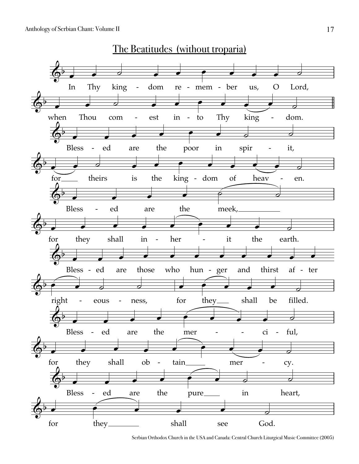

Serbian Orthodox Church in the USA and Canada: Central Church Liturgical Music Committee (2005)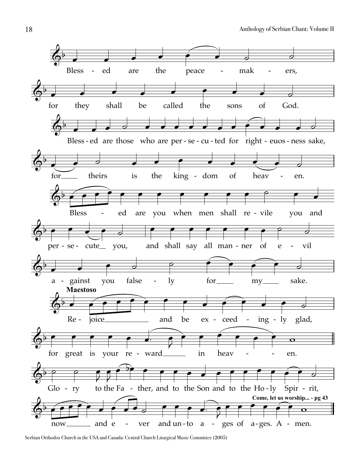

Serbian Orthodox Church in the USA and Canada: Central Church Liturgical Music Committee (2005)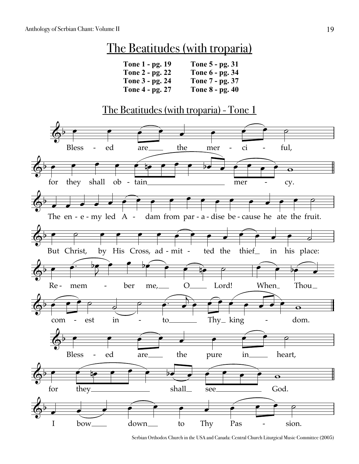## The Beatitudes (with troparia)

| Tone 1 - pg. 19 | Tone 5 - pg. 31 |
|-----------------|-----------------|
| Tone 2 - pg. 22 | Tone 6 - pg. 34 |
| Tone 3 - pg. 24 | Tone 7 - pg. 37 |
| Tone 4 - pg. 27 | Tone 8 - pg. 40 |

## The Beatitudes (with troparia) - Tone 1



Serbian Orthodox Church in the USA and Canada: Central Church Liturgical Music Committee (2005)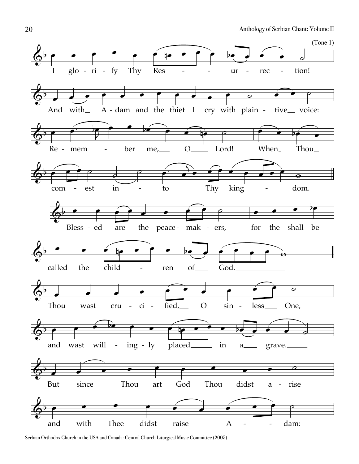

Serbian Orthodox Church in the USA and Canada: Central Church Liturgical Music Committee (2005)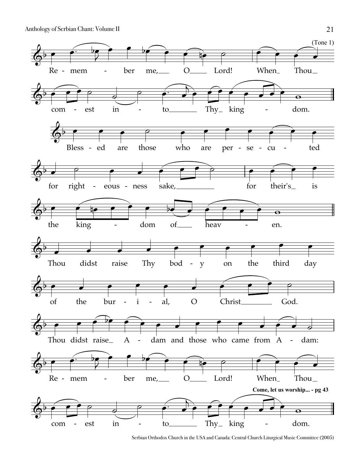

Serbian Orthodox Church in the USA and Canada: Central Church Liturgical Music Committee (2005)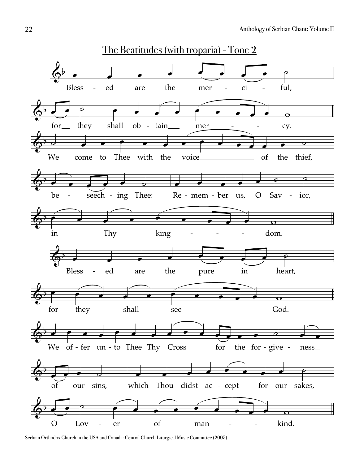

Serbian Orthodox Church in the USA and Canada: Central Church Liturgical Music Committee (2005)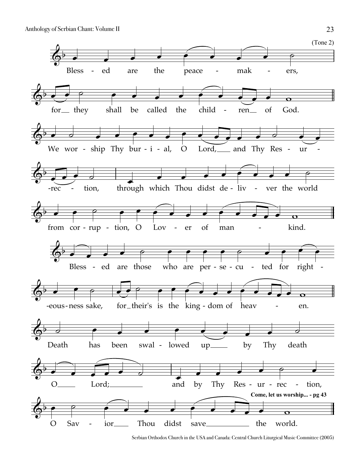

Serbian Orthodox Church in the USA and Canada: Central Church Liturgical Music Committee (2005)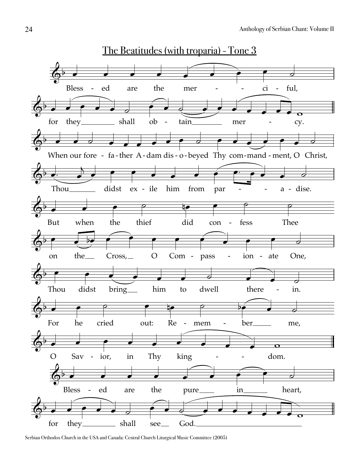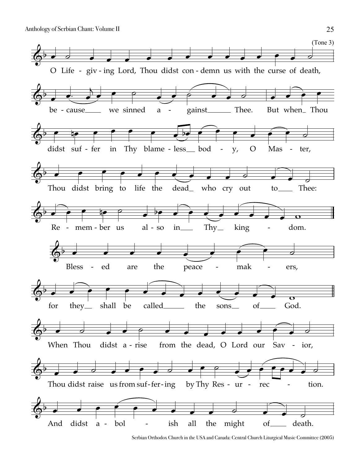

Serbian Orthodox Church in the USA and Canada: Central Church Liturgical Music Committee (2005)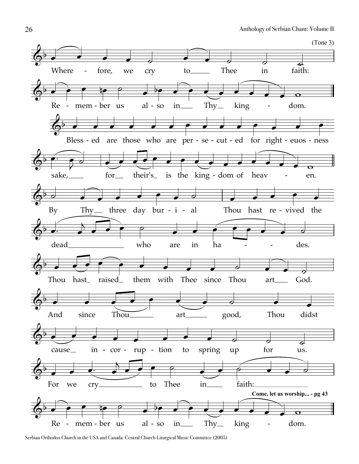

Serbian Orthodox Church in the USA and Canada: Central Church Liturgical Music Committee (2005)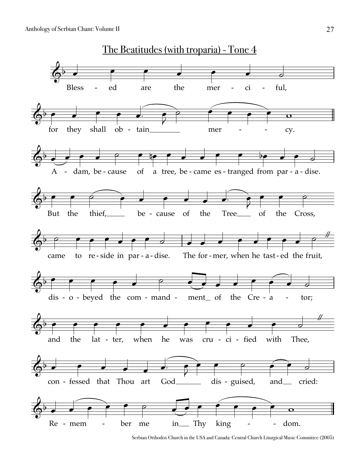

Serbian Orthodox Church in the USA and Canada: Central Church Liturgical Music Committee (2005)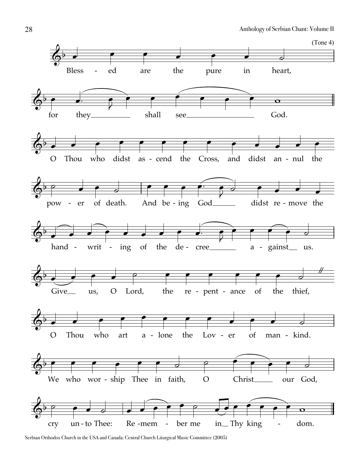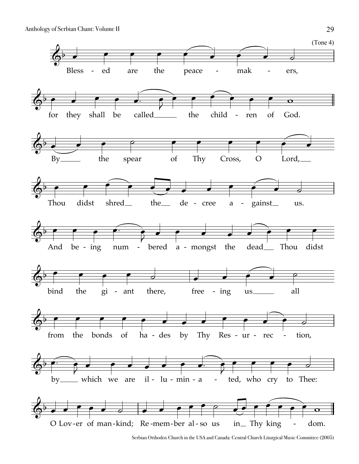

Serbian Orthodox Church in the USA and Canada: Central Church Liturgical Music Committee (2005)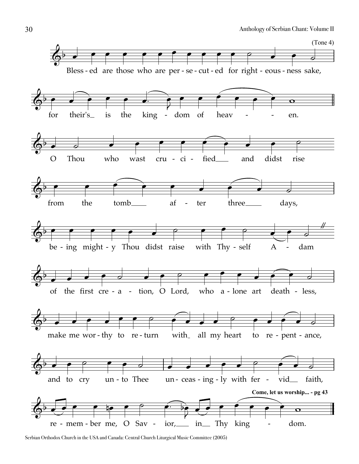

Serbian Orthodox Church in the USA and Canada: Central Church Liturgical Music Committee (2005)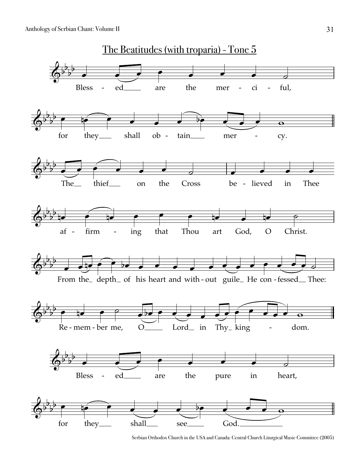

Serbian Orthodox Church in the USA and Canada: Central Church Liturgical Music Committee (2005)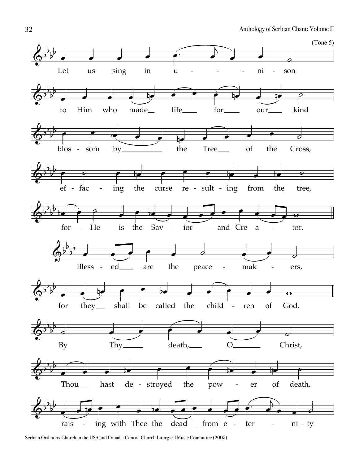

Serbian Orthodox Church in the USA and Canada: Central Church Liturgical Music Committee (2005)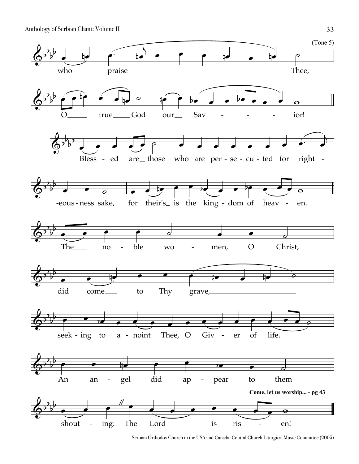

Serbian Orthodox Church in the USA and Canada: Central Church Liturgical Music Committee (2005)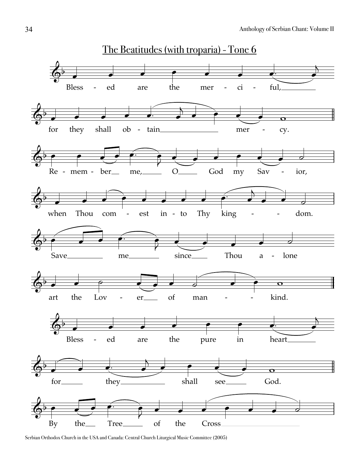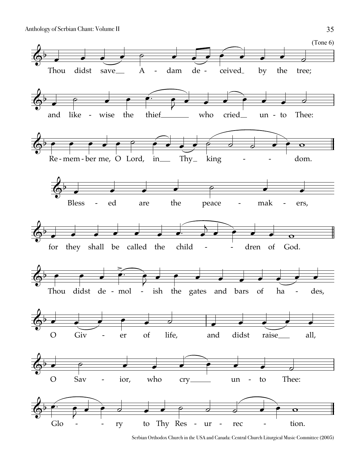

Serbian Orthodox Church in the USA and Canada: Central Church Liturgical Music Committee (2005)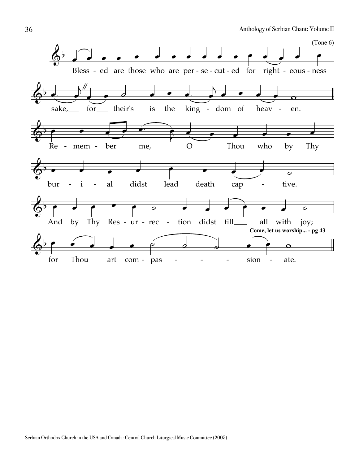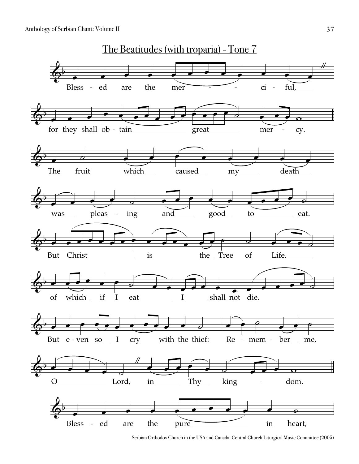

Serbian Orthodox Church in the USA and Canada: Central Church Liturgical Music Committee (2005)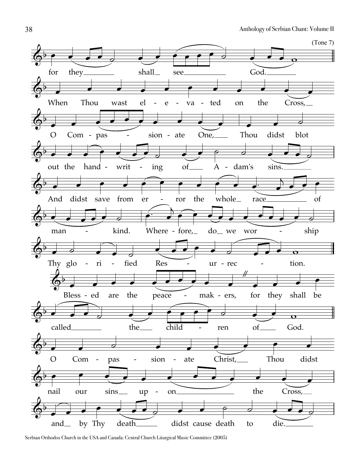

Serbian Orthodox Church in the USA and Canada: Central Church Liturgical Music Committee (2005)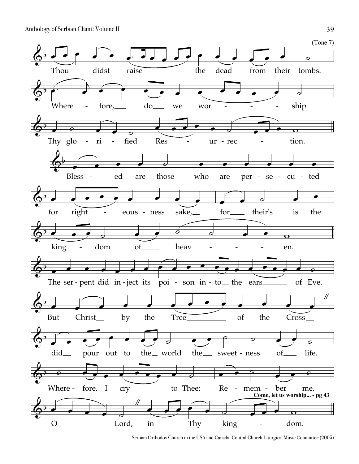

Serbian Orthodox Church in the USA and Canada: Central Church Liturgical Music Committee (2005)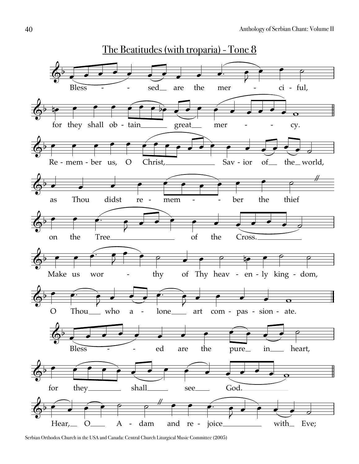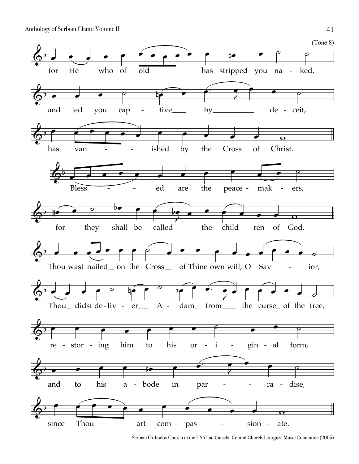![](_page_24_Figure_1.jpeg)

Serbian Orthodox Church in the USA and Canada: Central Church Liturgical Music Committee (2005)